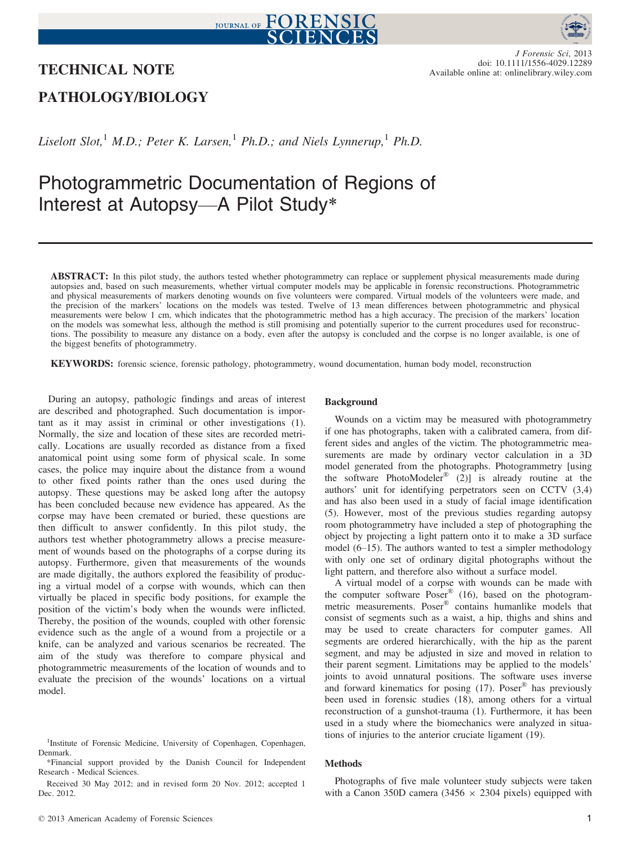# JOURNAL OF FORENSIC



### TECHNICAL NOTE

J Forensic Sci, 2013 doi: 10.1111/1556-4029.12289 Available online at: onlinelibrary.wiley.com

## PATHOLOGY/BIOLOGY

Liselott Slot,<sup>1</sup> M.D.; Peter K. Larsen,<sup>1</sup> Ph.D.; and Niels Lynnerup,<sup>1</sup> Ph.D.

# Photogrammetric Documentation of Regions of Interest at Autopsy—A Pilot Study\*

ABSTRACT: In this pilot study, the authors tested whether photogrammetry can replace or supplement physical measurements made during autopsies and, based on such measurements, whether virtual computer models may be applicable in forensic reconstructions. Photogrammetric and physical measurements of markers denoting wounds on five volunteers were compared. Virtual models of the volunteers were made, and the precision of the markers' locations on the models was tested. Twelve of 13 mean differences between photogrammetric and physical measurements were below 1 cm, which indicates that the photogrammetric method has a high accuracy. The precision of the markers' location on the models was somewhat less, although the method is still promising and potentially superior to the current procedures used for reconstructions. The possibility to measure any distance on a body, even after the autopsy is concluded and the corpse is no longer available, is one of the biggest benefits of photogrammetry.

KEYWORDS: forensic science, forensic pathology, photogrammetry, wound documentation, human body model, reconstruction

During an autopsy, pathologic findings and areas of interest are described and photographed. Such documentation is important as it may assist in criminal or other investigations (1). Normally, the size and location of these sites are recorded metrically. Locations are usually recorded as distance from a fixed anatomical point using some form of physical scale. In some cases, the police may inquire about the distance from a wound to other fixed points rather than the ones used during the autopsy. These questions may be asked long after the autopsy has been concluded because new evidence has appeared. As the corpse may have been cremated or buried, these questions are then difficult to answer confidently. In this pilot study, the authors test whether photogrammetry allows a precise measurement of wounds based on the photographs of a corpse during its autopsy. Furthermore, given that measurements of the wounds are made digitally, the authors explored the feasibility of producing a virtual model of a corpse with wounds, which can then virtually be placed in specific body positions, for example the position of the victim's body when the wounds were inflicted. Thereby, the position of the wounds, coupled with other forensic evidence such as the angle of a wound from a projectile or a knife, can be analyzed and various scenarios be recreated. The aim of the study was therefore to compare physical and photogrammetric measurements of the location of wounds and to evaluate the precision of the wounds' locations on a virtual model.

#### Background

Wounds on a victim may be measured with photogrammetry if one has photographs, taken with a calibrated camera, from different sides and angles of the victim. The photogrammetric measurements are made by ordinary vector calculation in a 3D model generated from the photographs. Photogrammetry [using the software PhotoModeler® (2)] is already routine at the authors' unit for identifying perpetrators seen on CCTV (3,4) and has also been used in a study of facial image identification (5). However, most of the previous studies regarding autopsy room photogrammetry have included a step of photographing the object by projecting a light pattern onto it to make a 3D surface model (6–15). The authors wanted to test a simpler methodology with only one set of ordinary digital photographs without the light pattern, and therefore also without a surface model.

A virtual model of a corpse with wounds can be made with the computer software Poser<sup>®</sup> (16), based on the photogrammetric measurements. Poser<sup>®</sup> contains humanlike models that consist of segments such as a waist, a hip, thighs and shins and may be used to create characters for computer games. All segments are ordered hierarchically, with the hip as the parent segment, and may be adjusted in size and moved in relation to their parent segment. Limitations may be applied to the models' joints to avoid unnatural positions. The software uses inverse and forward kinematics for posing  $(17)$ . Poser<sup>®</sup> has previously been used in forensic studies (18), among others for a virtual reconstruction of a gunshot-trauma (1). Furthermore, it has been used in a study where the biomechanics were analyzed in situations of injuries to the anterior cruciate ligament (19).

#### Methods

Photographs of five male volunteer study subjects were taken with a Canon 350D camera (3456  $\times$  2304 pixels) equipped with

<sup>&</sup>lt;sup>1</sup>Institute of Forensic Medicine, University of Copenhagen, Copenhagen, Denmark.

<sup>\*</sup>Financial support provided by the Danish Council for Independent Research - Medical Sciences.

Received 30 May 2012; and in revised form 20 Nov. 2012; accepted 1 Dec. 2012.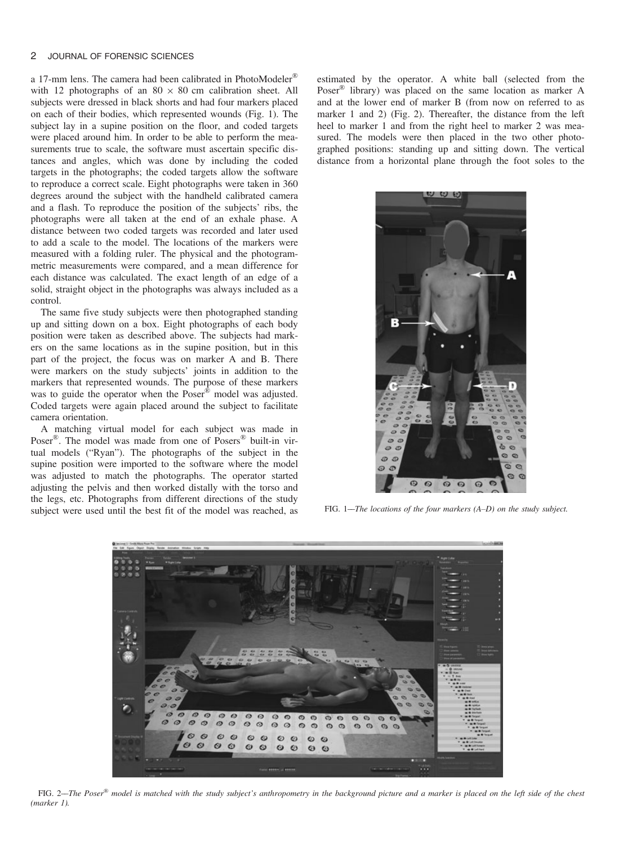#### 2 JOURNAL OF FORENSIC SCIENCES

a 17-mm lens. The camera had been calibrated in PhotoModeler<sup>®</sup> with 12 photographs of an  $80 \times 80$  cm calibration sheet. All subjects were dressed in black shorts and had four markers placed on each of their bodies, which represented wounds (Fig. 1). The subject lay in a supine position on the floor, and coded targets were placed around him. In order to be able to perform the measurements true to scale, the software must ascertain specific distances and angles, which was done by including the coded targets in the photographs; the coded targets allow the software to reproduce a correct scale. Eight photographs were taken in 360 degrees around the subject with the handheld calibrated camera and a flash. To reproduce the position of the subjects' ribs, the photographs were all taken at the end of an exhale phase. A distance between two coded targets was recorded and later used to add a scale to the model. The locations of the markers were measured with a folding ruler. The physical and the photogrammetric measurements were compared, and a mean difference for each distance was calculated. The exact length of an edge of a solid, straight object in the photographs was always included as a control.

The same five study subjects were then photographed standing up and sitting down on a box. Eight photographs of each body position were taken as described above. The subjects had markers on the same locations as in the supine position, but in this part of the project, the focus was on marker A and B. There were markers on the study subjects' joints in addition to the markers that represented wounds. The purpose of these markers was to guide the operator when the Poser® model was adjusted. Coded targets were again placed around the subject to facilitate camera orientation.

A matching virtual model for each subject was made in Poser<sup>®</sup>. The model was made from one of Posers<sup>®</sup> built-in virtual models ("Ryan"). The photographs of the subject in the supine position were imported to the software where the model was adjusted to match the photographs. The operator started adjusting the pelvis and then worked distally with the torso and the legs, etc. Photographs from different directions of the study subject were used until the best fit of the model was reached, as estimated by the operator. A white ball (selected from the Poser® library) was placed on the same location as marker A and at the lower end of marker B (from now on referred to as marker 1 and 2) (Fig. 2). Thereafter, the distance from the left heel to marker 1 and from the right heel to marker 2 was measured. The models were then placed in the two other photographed positions: standing up and sitting down. The vertical distance from a horizontal plane through the foot soles to the



FIG. 1––The locations of the four markers (A–D) on the study subject.



FIG. 2—The Poser<sup>®</sup> model is matched with the study subject's anthropometry in the background picture and a marker is placed on the left side of the chest (marker 1).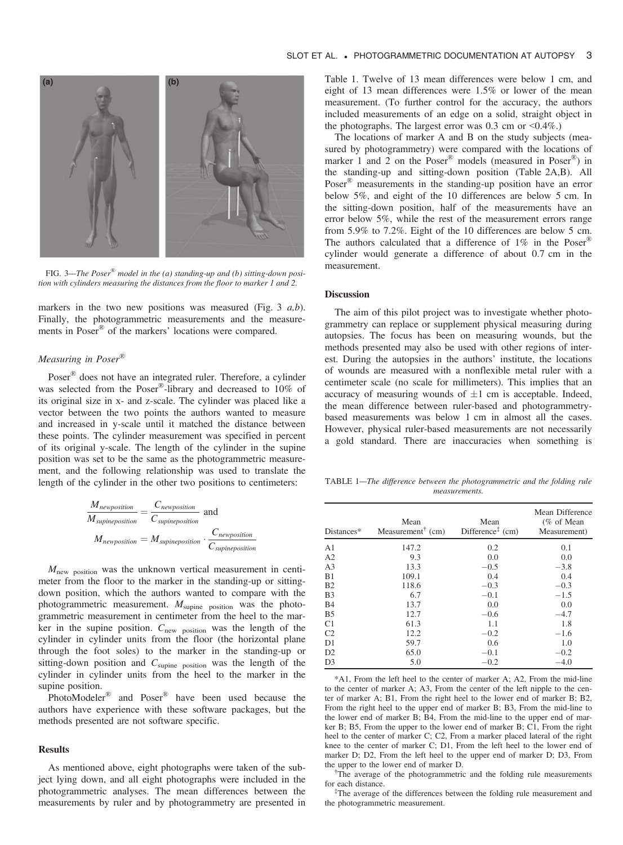

FIG. 3—The Poser<sup>®</sup> model in the (a) standing-up and (b) sitting-down position with cylinders measuring the distances from the floor to marker 1 and 2.

markers in the two new positions was measured (Fig. 3  $a,b$ ). Finally, the photogrammetric measurements and the measurements in Poser® of the markers' locations were compared.

#### Measuring in Poser®

Poser® does not have an integrated ruler. Therefore, a cylinder was selected from the Poser®-library and decreased to 10% of its original size in x- and z-scale. The cylinder was placed like a vector between the two points the authors wanted to measure and increased in y-scale until it matched the distance between these points. The cylinder measurement was specified in percent of its original y-scale. The length of the cylinder in the supine position was set to be the same as the photogrammetric measurement, and the following relationship was used to translate the length of the cylinder in the other two positions to centimeters:

$$
\frac{M_{newposition}}{M_{supineposition}} = \frac{C_{newposition}}{C_{supineposition}}
$$
 and  
\n
$$
M_{newposition} = M_{supineposition} \cdot \frac{C_{newposition}}{C_{supineposition}}
$$

 $M<sub>new position</sub>$  was the unknown vertical measurement in centimeter from the floor to the marker in the standing-up or sittingdown position, which the authors wanted to compare with the photogrammetric measurement.  $M_{\text{supine}}$  position was the photogrammetric measurement in centimeter from the heel to the marker in the supine position.  $C_{\text{new position}}$  was the length of the cylinder in cylinder units from the floor (the horizontal plane through the foot soles) to the marker in the standing-up or sitting-down position and  $C_{\text{supine}}$  position was the length of the cylinder in cylinder units from the heel to the marker in the supine position.

PhotoModeler® and Poser® have been used because the authors have experience with these software packages, but the methods presented are not software specific.

#### Results

As mentioned above, eight photographs were taken of the subject lying down, and all eight photographs were included in the photogrammetric analyses. The mean differences between the measurements by ruler and by photogrammetry are presented in

Table 1. Twelve of 13 mean differences were below 1 cm, and eight of 13 mean differences were 1.5% or lower of the mean measurement. (To further control for the accuracy, the authors included measurements of an edge on a solid, straight object in the photographs. The largest error was  $0.3 \text{ cm}$  or  $\leq 0.4\%$ .)

The locations of marker A and B on the study subjects (measured by photogrammetry) were compared with the locations of marker 1 and 2 on the Poser<sup>®</sup> models (measured in Poser<sup>®</sup>) in the standing-up and sitting-down position (Table 2A,B). All Poser® measurements in the standing-up position have an error below 5%, and eight of the 10 differences are below 5 cm. In the sitting-down position, half of the measurements have an error below 5%, while the rest of the measurement errors range from 5.9% to 7.2%. Eight of the 10 differences are below 5 cm. The authors calculated that a difference of  $1\%$  in the Poser<sup>®</sup> cylinder would generate a difference of about 0.7 cm in the measurement.

#### Discussion

The aim of this pilot project was to investigate whether photogrammetry can replace or supplement physical measuring during autopsies. The focus has been on measuring wounds, but the methods presented may also be used with other regions of interest. During the autopsies in the authors' institute, the locations of wounds are measured with a nonflexible metal ruler with a centimeter scale (no scale for millimeters). This implies that an accuracy of measuring wounds of  $\pm 1$  cm is acceptable. Indeed, the mean difference between ruler-based and photogrammetrybased measurements was below 1 cm in almost all the cases. However, physical ruler-based measurements are not necessarily a gold standard. There are inaccuracies when something is

TABLE 1––The difference between the photogrammetric and the folding rule measurements.

| Distances*     | Mean<br>Measurement <sup><math>\dagger</math></sup> (cm) | Mean<br>Difference <sup><math>\ddagger</math></sup> (cm) | Mean Difference<br>% of Mean<br>Measurement) |
|----------------|----------------------------------------------------------|----------------------------------------------------------|----------------------------------------------|
| A <sub>1</sub> | 147.2                                                    | 0.2                                                      | 0.1                                          |
| A2             | 9.3                                                      | 0.0                                                      | 0.0                                          |
| A <sub>3</sub> | 13.3                                                     | $-0.5$                                                   | $-3.8$                                       |
| B1             | 109.1                                                    | 0.4                                                      | 0.4                                          |
| B <sub>2</sub> | 118.6                                                    | $-0.3$                                                   | $-0.3$                                       |
| B <sub>3</sub> | 6.7                                                      | $-0.1$                                                   | $-1.5$                                       |
| <b>B4</b>      | 13.7                                                     | 0.0                                                      | 0.0                                          |
| B <sub>5</sub> | 12.7                                                     | $-0.6$                                                   | $-4.7$                                       |
| C1             | 61.3                                                     | 1.1                                                      | 1.8                                          |
| C <sub>2</sub> | 12.2                                                     | $-0.2$                                                   | $-1.6$                                       |
| D1             | 59.7                                                     | 0.6                                                      | 1.0                                          |
| D2             | 65.0                                                     | $-0.1$                                                   | $-0.2$                                       |
| D <sub>3</sub> | 5.0                                                      | $-0.2$                                                   | $-4.0$                                       |

\*A1, From the left heel to the center of marker A; A2, From the mid-line to the center of marker A; A3, From the center of the left nipple to the center of marker A; B1, From the right heel to the lower end of marker B; B2, From the right heel to the upper end of marker B; B3, From the mid-line to the lower end of marker B; B<sub>4</sub>, From the mid-line to the upper end of marker B; B5, From the upper to the lower end of marker B; C1, From the right heel to the center of marker C; C2, From a marker placed lateral of the right knee to the center of marker C; D1, From the left heel to the lower end of marker D; D2, From the left heel to the upper end of marker D; D3, From the upper to the lower end of marker D.

<sup>†</sup>The average of the photogrammetric and the folding rule measurements for each distance.

‡ The average of the differences between the folding rule measurement and the photogrammetric measurement.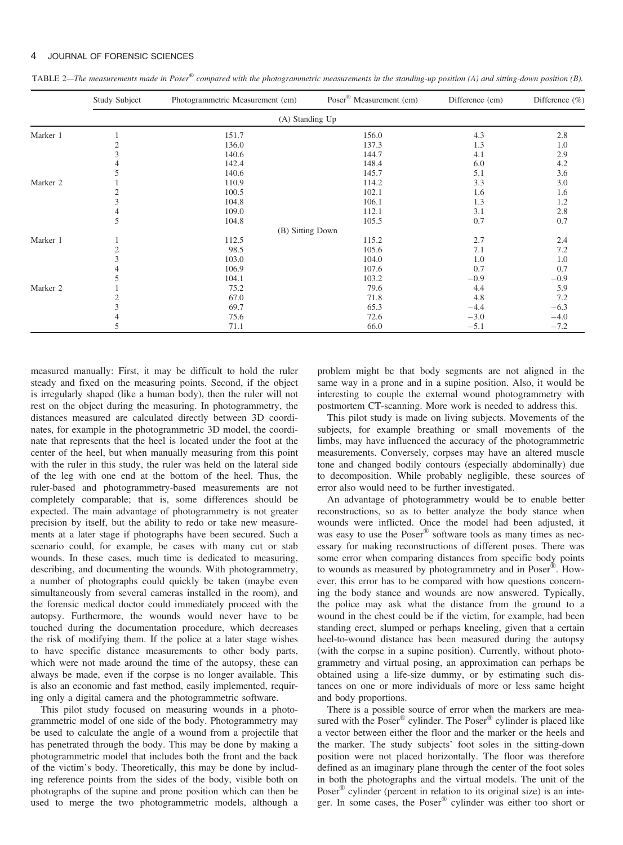#### 4 JOURNAL OF FORENSIC SCIENCES

TABLE 2—The measurements made in Poser<sup>®</sup> compared with the photogrammetric measurements in the standing-up position (A) and sitting-down position (B).

|          | Study Subject   | Photogrammetric Measurement (cm) | Poser <sup>®</sup> Measurement (cm) | Difference (cm) | Difference $(\% )$ |  |  |  |
|----------|-----------------|----------------------------------|-------------------------------------|-----------------|--------------------|--|--|--|
|          | (A) Standing Up |                                  |                                     |                 |                    |  |  |  |
| Marker 1 |                 | 151.7                            | 156.0                               | 4.3             | 2.8                |  |  |  |
|          |                 | 136.0                            | 137.3                               | 1.3             | 1.0                |  |  |  |
|          |                 | 140.6                            | 144.7                               | 4.1             | 2.9                |  |  |  |
|          |                 | 142.4                            | 148.4                               | 6.0             | 4.2                |  |  |  |
|          |                 | 140.6                            | 145.7                               | 5.1             | 3.6                |  |  |  |
| Marker 2 |                 | 110.9                            | 114.2                               | 3.3             | $3.0\,$            |  |  |  |
|          | 2               | 100.5                            | 102.1                               | 1.6             | 1.6                |  |  |  |
|          |                 | 104.8                            | 106.1                               | 1.3             | 1.2                |  |  |  |
|          |                 | 109.0                            | 112.1                               | 3.1             | $2.8\,$            |  |  |  |
|          | 5               | 104.8                            | 105.5                               | 0.7             | 0.7                |  |  |  |
|          |                 | (B) Sitting Down                 |                                     |                 |                    |  |  |  |
| Marker 1 |                 | 112.5                            | 115.2                               | 2.7             | 2.4                |  |  |  |
|          |                 | 98.5                             | 105.6                               | 7.1             | 7.2                |  |  |  |
|          |                 | 103.0                            | 104.0                               | 1.0             | 1.0                |  |  |  |
|          |                 | 106.9                            | 107.6                               | 0.7             | 0.7                |  |  |  |
|          |                 | 104.1                            | 103.2                               | $-0.9$          | $-0.9$             |  |  |  |
| Marker 2 |                 | 75.2                             | 79.6                                | 4.4             | 5.9                |  |  |  |
|          |                 | 67.0                             | 71.8                                | 4.8             | 7.2                |  |  |  |
|          |                 | 69.7                             | 65.3                                | $-4.4$          | $-6.3$             |  |  |  |
|          |                 | 75.6                             | 72.6                                | $-3.0$          | $-4.0$             |  |  |  |
|          | 5               | 71.1                             | 66.0                                | $-5.1$          | $-7.2$             |  |  |  |

measured manually: First, it may be difficult to hold the ruler steady and fixed on the measuring points. Second, if the object is irregularly shaped (like a human body), then the ruler will not rest on the object during the measuring. In photogrammetry, the distances measured are calculated directly between 3D coordinates, for example in the photogrammetric 3D model, the coordinate that represents that the heel is located under the foot at the center of the heel, but when manually measuring from this point with the ruler in this study, the ruler was held on the lateral side of the leg with one end at the bottom of the heel. Thus, the ruler-based and photogrammetry-based measurements are not completely comparable; that is, some differences should be expected. The main advantage of photogrammetry is not greater precision by itself, but the ability to redo or take new measurements at a later stage if photographs have been secured. Such a scenario could, for example, be cases with many cut or stab wounds. In these cases, much time is dedicated to measuring, describing, and documenting the wounds. With photogrammetry, a number of photographs could quickly be taken (maybe even simultaneously from several cameras installed in the room), and the forensic medical doctor could immediately proceed with the autopsy. Furthermore, the wounds would never have to be touched during the documentation procedure, which decreases the risk of modifying them. If the police at a later stage wishes to have specific distance measurements to other body parts, which were not made around the time of the autopsy, these can always be made, even if the corpse is no longer available. This is also an economic and fast method, easily implemented, requiring only a digital camera and the photogrammetric software.

This pilot study focused on measuring wounds in a photogrammetric model of one side of the body. Photogrammetry may be used to calculate the angle of a wound from a projectile that has penetrated through the body. This may be done by making a photogrammetric model that includes both the front and the back of the victim's body. Theoretically, this may be done by including reference points from the sides of the body, visible both on photographs of the supine and prone position which can then be used to merge the two photogrammetric models, although a problem might be that body segments are not aligned in the same way in a prone and in a supine position. Also, it would be interesting to couple the external wound photogrammetry with postmortem CT-scanning. More work is needed to address this.

This pilot study is made on living subjects. Movements of the subjects, for example breathing or small movements of the limbs, may have influenced the accuracy of the photogrammetric measurements. Conversely, corpses may have an altered muscle tone and changed bodily contours (especially abdominally) due to decomposition. While probably negligible, these sources of error also would need to be further investigated.

An advantage of photogrammetry would be to enable better reconstructions, so as to better analyze the body stance when wounds were inflicted. Once the model had been adjusted, it was easy to use the Poser<sup>®</sup> software tools as many times as necessary for making reconstructions of different poses. There was some error when comparing distances from specific body points to wounds as measured by photogrammetry and in Poser®. However, this error has to be compared with how questions concerning the body stance and wounds are now answered. Typically, the police may ask what the distance from the ground to a wound in the chest could be if the victim, for example, had been standing erect, slumped or perhaps kneeling, given that a certain heel-to-wound distance has been measured during the autopsy (with the corpse in a supine position). Currently, without photogrammetry and virtual posing, an approximation can perhaps be obtained using a life-size dummy, or by estimating such distances on one or more individuals of more or less same height and body proportions.

There is a possible source of error when the markers are measured with the Poser<sup>®</sup> cylinder. The Poser<sup>®</sup> cylinder is placed like a vector between either the floor and the marker or the heels and the marker. The study subjects' foot soles in the sitting-down position were not placed horizontally. The floor was therefore defined as an imaginary plane through the center of the foot soles in both the photographs and the virtual models. The unit of the Poser® cylinder (percent in relation to its original size) is an integer. In some cases, the Poser® cylinder was either too short or